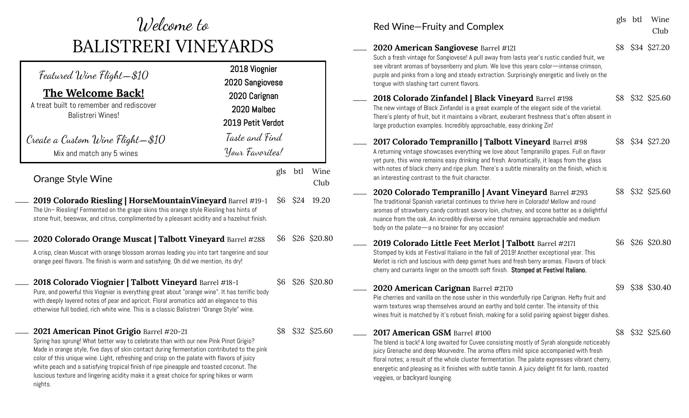## Welcome to BALISTRERI VINEYARDS

| Featured Wine Flight—\$10 $\,$<br>The Welcome Back!<br>A treat built to remember and rediscover<br><b>Balistreri Wines!</b><br>Create a Custom Wine Flight—\$10                                                                                                                                                                                                                                                                                                                                                               | 2018 Viognier<br>2020 Sangiovese<br>2020 Carignan<br>2020 Malbec<br>2019 Petit Verdot<br>Taste and Find |     |      |              |
|-------------------------------------------------------------------------------------------------------------------------------------------------------------------------------------------------------------------------------------------------------------------------------------------------------------------------------------------------------------------------------------------------------------------------------------------------------------------------------------------------------------------------------|---------------------------------------------------------------------------------------------------------|-----|------|--------------|
| Mix and match any 5 wines                                                                                                                                                                                                                                                                                                                                                                                                                                                                                                     | Your Favorites!                                                                                         |     |      |              |
| Orange Style Wine                                                                                                                                                                                                                                                                                                                                                                                                                                                                                                             |                                                                                                         | gls | btl  | Wine<br>Club |
| 2019 Colorado Riesling   HorseMountainVineyard Barrel #19-1<br>The Un-Riesling! Fermented on the grape skins this orange style Riesling has hints of<br>stone fruit, beeswax, and citrus, complimented by a pleasant acidity and a hazelnut finish.                                                                                                                                                                                                                                                                           |                                                                                                         | \$6 | \$24 | 19.20        |
| 2020 Colorado Orange Muscat   Talbott Vineyard Barrel #288                                                                                                                                                                                                                                                                                                                                                                                                                                                                    |                                                                                                         | \$6 |      | \$26 \$20.80 |
| A crisp, clean Muscat with orange blossom aromas leading you into tart tangerine and sour<br>orange peel flavors. The finish is warm and satisfying. Oh did we mention, its dry!                                                                                                                                                                                                                                                                                                                                              |                                                                                                         |     |      |              |
| 2018 Colorado Viognier   Talbott Vineyard Barrel #18-1<br>Pure, and powerful this Viognier is everything great about "orange wine". It has terrific body<br>with deeply layered notes of pear and apricot. Floral aromatics add an elegance to this<br>otherwise full bodied, rich white wine. This is a classic Balistreri "Orange Style" wine.                                                                                                                                                                              |                                                                                                         | \$6 |      | \$26 \$20.80 |
| 2021 American Pinot Grigio Barrel #20-21<br>Spring has sprung! What better way to celebrate than with our new Pink Pinot Grigio?<br>Made in orange style, five days of skin contact during fermentation contributed to the pink<br>color of this unique wine. Light, refreshing and crisp on the palate with flavors of juicy<br>white peach and a satisfying tropical finish of ripe pineapple and toasted coconut. The<br>luscious texture and lingering acidity make it a great choice for spring hikes or warm<br>nights. |                                                                                                         | \$8 |      | \$32 \$25.60 |

| Red Wine-Fruity and Complex                                                                                                                                                                                                                                                                                                                                                                                                                                  |     | gls btl | Wine<br>Club     |
|--------------------------------------------------------------------------------------------------------------------------------------------------------------------------------------------------------------------------------------------------------------------------------------------------------------------------------------------------------------------------------------------------------------------------------------------------------------|-----|---------|------------------|
| 2020 American Sangiovese Barrel #121<br>Such a fresh vintage for Sangiovese! A pull away from lasts year's rustic candied fruit, we<br>see vibrant aromas of boysenberry and plum. We love this years color-intense crimson,<br>purple and pinks from a long and steady extraction. Surprisingly energetic and lively on the<br>tongue with slashing tart current flavors.                                                                                   | \$8 |         | \$34 \$27.20     |
| 2018 Colorado Zinfandel   Black Vineyard Barrel #198<br>The new vintage of Black Zinfandel is a great example of the elegant side of the varietal.<br>There's plenty of fruit, but it maintains a vibrant, exuberant freshness that's often absent in<br>large production examples. Incredibly approachable, easy drinking Zin!                                                                                                                              | \$8 |         | \$32 \$25.60     |
| 2017 Colorado Tempranillo   Talbott Vineyard Barrel #98<br>A returning vintage showcases everything we love about Tempranillo grapes. Full on flavor<br>yet pure, this wine remains easy drinking and fresh. Aromatically, it leaps from the glass<br>with notes of black cherry and ripe plum. There's a subtle minerality on the finish, which is<br>an interesting contrast to the fruit character.                                                       |     |         | \$8 \$34 \$27.20 |
| 2020 Colorado Tempranillo   Avant Vineyard Barrel #293<br>The traditional Spanish varietal continues to thrive here in Colorado! Mellow and round<br>aromas of strawberry candy contrast savory loin, chutney, and scone batter as a delightful<br>nuance from the oak. An incredibly diverse wine that remains approachable and medium<br>body on the palate-a no brainer for any occasion!                                                                 |     |         | \$8 \$32 \$25.60 |
| 2019 Colorado Little Feet Merlot   Talbott Barrel #2171<br>Stomped by kids at Festival Italiano in the fall of 2019! Another exceptional year. This<br>Merlot is rich and luscious with deep garnet hues and fresh berry aromas. Flavors of black<br>cherry and currants linger on the smooth soft finish. Stomped at Festival Italiano.                                                                                                                     |     |         | \$6 \$26 \$20.80 |
| 2020 American Carignan Barrel #2170<br>Pie cherries and vanilla on the nose usher in this wonderfully ripe Carignan. Hefty fruit and<br>warm textures wrap themselves around an earthy and bold center. The intensity of this<br>wines fruit is matched by it's robust finish, making for a solid pairing against bigger dishes.                                                                                                                             |     |         | \$9 \$38 \$30.40 |
| 2017 American GSM Barrel #100<br>The blend is back! A long awaited for Cuvee consisting mostly of Syrah alongside noticeably<br>juicy Grenache and deep Mourvedre. The aroma offers mild spice accompanied with fresh<br>floral notes; a result of the whole cluster fermentation. The palate expresses vibrant cherry,<br>energetic and pleasing as it finishes with subtle tannin. A juicy delight fit for lamb, roasted<br>veggies, or backyard lounging. |     |         | \$8 \$32 \$25.60 |